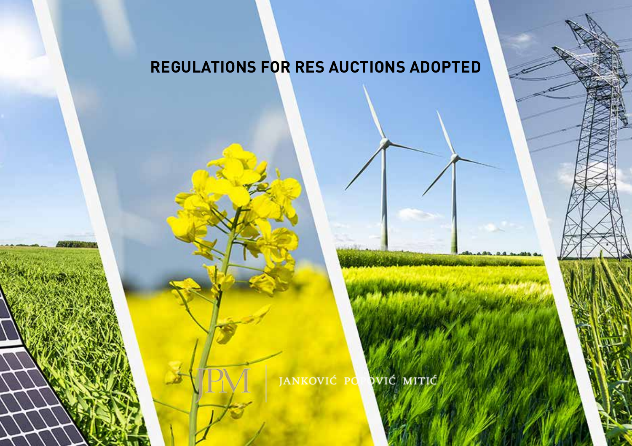JANKOVIĆ PO VIĆ MITIĆ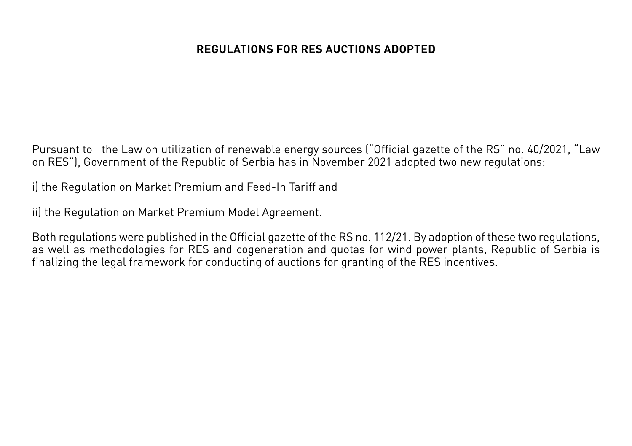Pursuant to the Law on utilization of renewable energy sources ("Official gazette of the RS" no. 40/2021, "Law on RES"), Government of the Republic of Serbia has in November 2021 adopted two new regulations:

i) the Regulation on Market Premium and Feed-In Tariff and

ii) the Regulation on Market Premium Model Agreement.

Both regulations were published in the Official gazette of the RS no. 112/21. By adoption of these two regulations, as well as methodologies for RES and cogeneration and quotas for wind power plants, Republic of Serbia is finalizing the legal framework for conducting of auctions for granting of the RES incentives.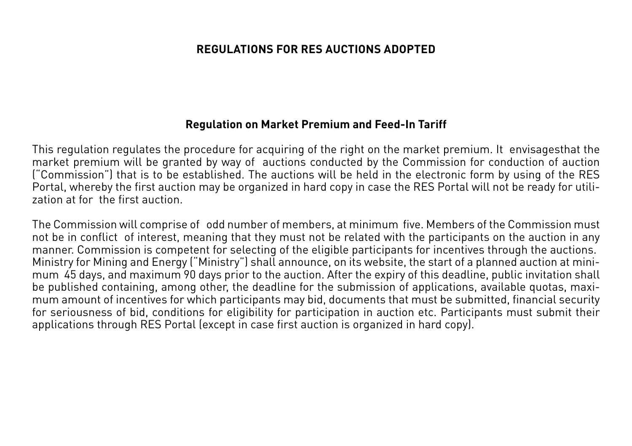#### **Regulation on Market Premium and Feed-In Tariff**

This regulation regulates the procedure for acquiring of the right on the market premium. It envisagesthat the market premium will be granted by way of auctions conducted by the Commission for conduction of auction ("Commission") that is to be established. The auctions will be held in the electronic form by using of the RES Portal, whereby the first auction may be organized in hard copy in case the RES Portal will not be ready for utilization at for the first auction.

The Commission will comprise of odd number of members, at minimum five. Members of the Commission must not be in conflict of interest, meaning that they must not be related with the participants on the auction in any manner. Commission is competent for selecting of the eligible participants for incentives through the auctions. Ministry for Mining and Energy ("Ministry") shall announce, on its website, the start of a planned auction at minimum 45 days, and maximum 90 days prior to the auction. After the expiry of this deadline, public invitation shall be published containing, among other, the deadline for the submission of applications, available quotas, maximum amount of incentives for which participants may bid, documents that must be submitted, financial security for seriousness of bid, conditions for eligibility for participation in auction etc. Participants must submit their applications through RES Portal (except in case first auction is organized in hard copy).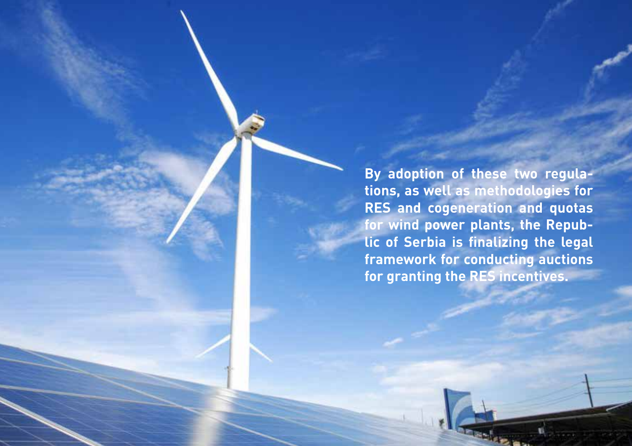**By adoption of these two regulations, as well as methodologies for RES and cogeneration and quotas for wind power plants, the Republic of Serbia is finalizing the legal framework for conducting auctions for granting the RES incentives.**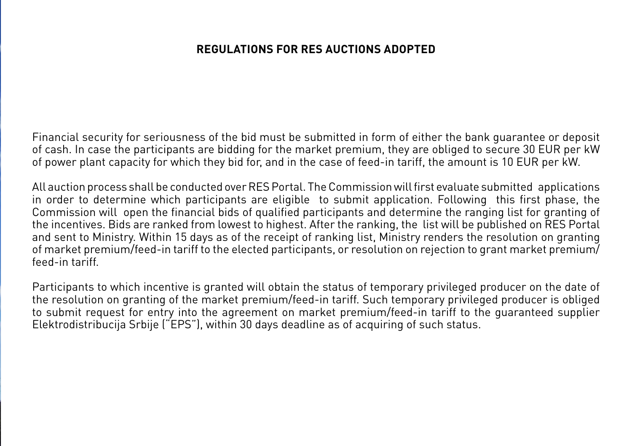Financial security for seriousness of the bid must be submitted in form of either the bank guarantee or deposit of cash. In case the participants are bidding for the market premium, they are obliged to secure 30 EUR per kW of power plant capacity for which they bid for, and in the case of feed-in tariff, the amount is 10 EUR per kW.

All auction process shall be conducted over RES Portal. The Commission will first evaluate submitted applications in order to determine which participants are eligible to submit application. Following this first phase, the Commission will open the financial bids of qualified participants and determine the ranging list for granting of the incentives. Bids are ranked from lowest to highest. After the ranking, the list will be published on RES Portal and sent to Ministry. Within 15 days as of the receipt of ranking list, Ministry renders the resolution on granting of market premium/feed-in tariff to the elected participants, or resolution on rejection to grant market premium/ feed-in tariff.

Participants to which incentive is granted will obtain the status of temporary privileged producer on the date of the resolution on granting of the market premium/feed-in tariff. Such temporary privileged producer is obliged to submit request for entry into the agreement on market premium/feed-in tariff to the guaranteed supplier Elektrodistribucija Srbije ("EPS"), within 30 days deadline as of acquiring of such status.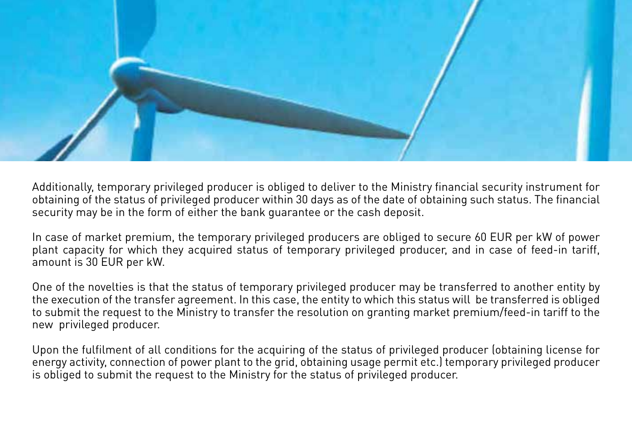

Additionally, temporary privileged producer is obliged to deliver to the Ministry financial security instrument for obtaining of the status of privileged producer within 30 days as of the date of obtaining such status. The financial security may be in the form of either the bank guarantee or the cash deposit.

In case of market premium, the temporary privileged producers are obliged to secure 60 EUR per kW of power plant capacity for which they acquired status of temporary privileged producer, and in case of feed-in tariff, amount is 30 EUR per kW.

One of the novelties is that the status of temporary privileged producer may be transferred to another entity by the execution of the transfer agreement. In this case, the entity to which this status will be transferred is obliged to submit the request to the Ministry to transfer the resolution on granting market premium/feed-in tariff to the new privileged producer.

Upon the fulfilment of all conditions for the acquiring of the status of privileged producer (obtaining license for energy activity, connection of power plant to the grid, obtaining usage permit etc.) temporary privileged producer is obliged to submit the request to the Ministry for the status of privileged producer.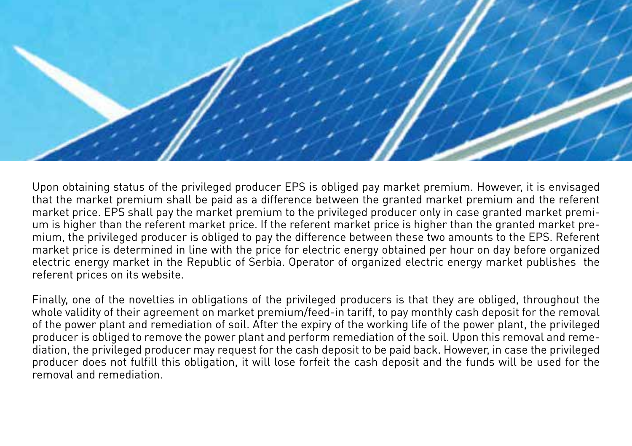

Upon obtaining status of the privileged producer EPS is obliged pay market premium. However, it is envisaged that the market premium shall be paid as a difference between the granted market premium and the referent market price. EPS shall pay the market premium to the privileged producer only in case granted market premium is higher than the referent market price. If the referent market price is higher than the granted market premium, the privileged producer is obliged to pay the difference between these two amounts to the EPS. Referent market price is determined in line with the price for electric energy obtained per hour on day before organized electric energy market in the Republic of Serbia. Operator of organized electric energy market publishes the referent prices on its website.

Finally, one of the novelties in obligations of the privileged producers is that they are obliged, throughout the whole validity of their agreement on market premium/feed-in tariff, to pay monthly cash deposit for the removal of the power plant and remediation of soil. After the expiry of the working life of the power plant, the privileged producer is obliged to remove the power plant and perform remediation of the soil. Upon this removal and remediation, the privileged producer may request for the cash deposit to be paid back. However, in case the privileged producer does not fulfill this obligation, it will lose forfeit the cash deposit and the funds will be used for the removal and remediation.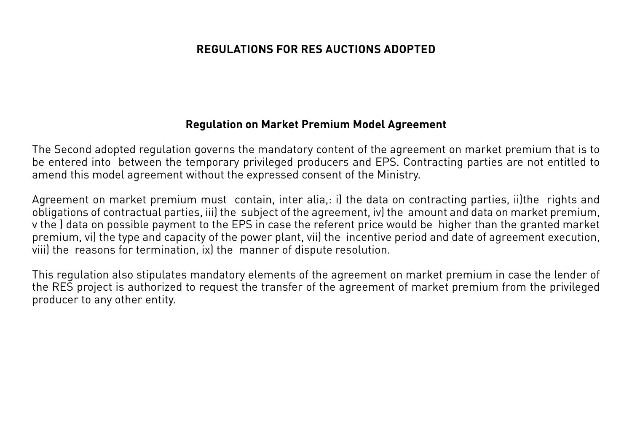#### **Regulation on Market Premium Model Agreement**

The Second adopted regulation governs the mandatory content of the agreement on market premium that is to be entered into between the temporary privileged producers and EPS. Contracting parties are not entitled to amend this model agreement without the expressed consent of the Ministry.

Agreement on market premium must contain, inter alia,: i) the data on contracting parties, ii)the rights and obligations of contractual parties, iii) the subject of the agreement, iv) the amount and data on market premium, v the ) data on possible payment to the EPS in case the referent price would be higher than the granted market premium, vi) the type and capacity of the power plant, vii) the incentive period and date of agreement execution, viii) the reasons for termination, ix) the manner of dispute resolution.

This regulation also stipulates mandatory elements of the agreement on market premium in case the lender of the RES project is authorized to request the transfer of the agreement of market premium from the privileged producer to any other entity.